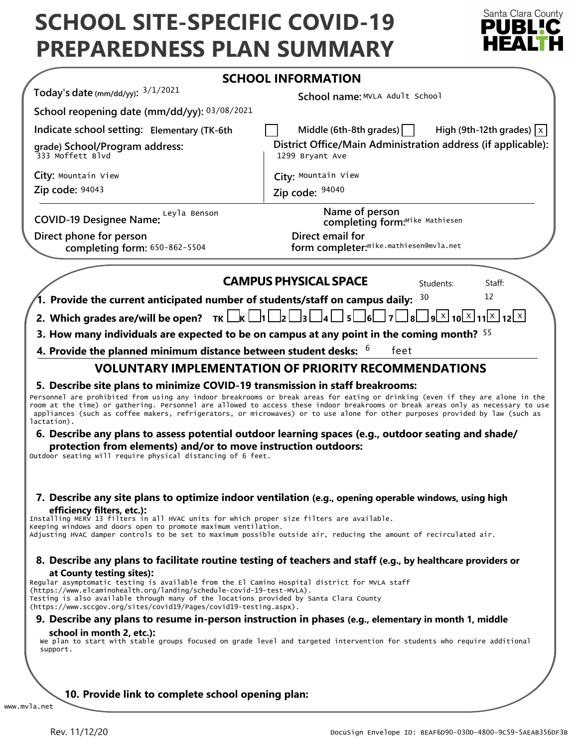# **SCHOOL SITE-SPECIFIC COVID-19 PREPAREDNESS PLAN SUMMARY**



|                                                                                                                                                                                                                                                                                                                                                                     | <b>SCHOOL INFORMATION</b>                                                                                                                                                                                                                                                                                                                                              |
|---------------------------------------------------------------------------------------------------------------------------------------------------------------------------------------------------------------------------------------------------------------------------------------------------------------------------------------------------------------------|------------------------------------------------------------------------------------------------------------------------------------------------------------------------------------------------------------------------------------------------------------------------------------------------------------------------------------------------------------------------|
| Today's date (mm/dd/yy): $3/1/2021$                                                                                                                                                                                                                                                                                                                                 | School name: MVLA Adult School                                                                                                                                                                                                                                                                                                                                         |
| School reopening date (mm/dd/yy): 03/08/2021                                                                                                                                                                                                                                                                                                                        |                                                                                                                                                                                                                                                                                                                                                                        |
| Indicate school setting: Elementary (TK-6th                                                                                                                                                                                                                                                                                                                         | Middle (6th-8th grades) $\vert$<br>High (9th-12th grades) $ x $                                                                                                                                                                                                                                                                                                        |
| grade) School/Program address:<br>333 Moffett Blvd                                                                                                                                                                                                                                                                                                                  | District Office/Main Administration address (if applicable):<br>1299 Bryant Ave                                                                                                                                                                                                                                                                                        |
| City: Mountain View                                                                                                                                                                                                                                                                                                                                                 | City: Mountain View                                                                                                                                                                                                                                                                                                                                                    |
| Zip code: 94043                                                                                                                                                                                                                                                                                                                                                     | Zip code: 94040                                                                                                                                                                                                                                                                                                                                                        |
| COVID-19 Designee Name: Leyla Benson                                                                                                                                                                                                                                                                                                                                | Name of person<br>completing form:Mike Mathiesen                                                                                                                                                                                                                                                                                                                       |
| Direct phone for person<br>completing form: 650-862-5504                                                                                                                                                                                                                                                                                                            | Direct email for<br>form completer: <sup>mike.mathiesen@mvla.net</sup>                                                                                                                                                                                                                                                                                                 |
|                                                                                                                                                                                                                                                                                                                                                                     | <b>CAMPUS PHYSICAL SPACE</b><br>Students:<br>Staff:                                                                                                                                                                                                                                                                                                                    |
| 1. Provide the current anticipated number of students/staff on campus daily:                                                                                                                                                                                                                                                                                        | 12<br>30                                                                                                                                                                                                                                                                                                                                                               |
|                                                                                                                                                                                                                                                                                                                                                                     | $\lfloor x \rfloor$ ا 12 $\lfloor x \rfloor$ 11 $\lfloor x \rfloor$ 12 $\lfloor x \rfloor$ و                                                                                                                                                                                                                                                                           |
| 2. Which grades are/will be open? $TK \Box K \Box 1 \Box 2 \Box$                                                                                                                                                                                                                                                                                                    | Jзl<br> 4 <br>5L                                                                                                                                                                                                                                                                                                                                                       |
|                                                                                                                                                                                                                                                                                                                                                                     | 3. How many individuals are expected to be on campus at any point in the coming month? 55                                                                                                                                                                                                                                                                              |
| 4. Provide the planned minimum distance between student desks: $6\,$                                                                                                                                                                                                                                                                                                | feet<br><b>VOLUNTARY IMPLEMENTATION OF PRIORITY RECOMMENDATIONS</b>                                                                                                                                                                                                                                                                                                    |
| lactation).<br>protection from elements) and/or to move instruction outdoors:<br>Outdoor seating will require physical distancing of 6 feet.                                                                                                                                                                                                                        | room at the time) or gathering. Personnel are allowed to access these indoor breakrooms or break areas only as necessary to use<br>appliances (such as coffee makers, refrigerators, or microwaves) or to use alone for other purposes provided by law (such as<br>6. Describe any plans to assess potential outdoor learning spaces (e.g., outdoor seating and shade/ |
| efficiency filters, etc.):<br>Installing MERV 13 filters in all HVAC units for which proper size filters are available.<br>Keeping windows and doors open to promote maximum ventilation.                                                                                                                                                                           | 7. Describe any site plans to optimize indoor ventilation (e.g., opening operable windows, using high<br>Adjusting HVAC damper controls to be set to maximum possible outside air, reducing the amount of recirculated air.                                                                                                                                            |
| at County testing sites):<br>Regular asymptomatic testing is available from the El Camino Hospital district for MVLA staff<br>(https://www.elcaminohealth.org/landing/schedule-covid-19-test-MVLA).<br>Testing is also available through many of the locations provided by Santa Clara County<br>(https://www.sccgov.org/sites/covid19/Pages/covid19-testing.aspx). | 8. Describe any plans to facilitate routine testing of teachers and staff (e.g., by healthcare providers or                                                                                                                                                                                                                                                            |
|                                                                                                                                                                                                                                                                                                                                                                     | 9. Describe any plans to resume in-person instruction in phases (e.g., elementary in month 1, middle                                                                                                                                                                                                                                                                   |
| school in month 2, etc.):<br>support.                                                                                                                                                                                                                                                                                                                               | We plan to start with stable groups focused on grade level and targeted intervention for students who require additional                                                                                                                                                                                                                                               |
|                                                                                                                                                                                                                                                                                                                                                                     |                                                                                                                                                                                                                                                                                                                                                                        |
| 10. Provide link to complete school opening plan:                                                                                                                                                                                                                                                                                                                   |                                                                                                                                                                                                                                                                                                                                                                        |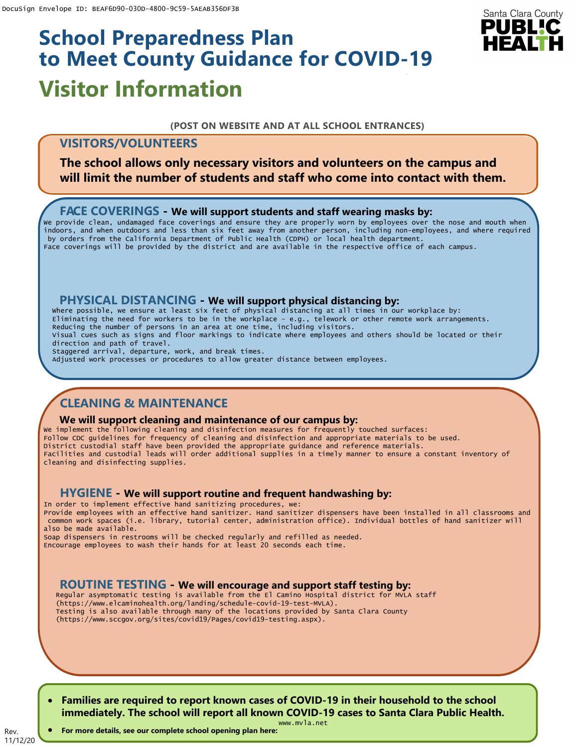# **Visitor Information School Preparedness Plan to Meet County Guidance for COVID-19**

# Santa Clara County PUBLIC

#### **(POST ON WEBSITE AND AT ALL SCHOOL ENTRANCES)**

# **VISITORS/VOLUNTEERS**

**The school allows only necessary visitors and volunteers on the campus and will limit the number of students and staff who come into contact with them.**

## **FACE COVERINGS - We will support students and staff wearing masks by:**

We provide clean, undamaged face coverings and ensure they are properly worn by employees over the nose and mouth when indoors, and when outdoors and less than six feet away from another person, including non-employees, and where required by orders from the California Department of Public Health (CDPH) or local health department. Face coverings will be provided by the district and are available in the respective office of each campus.

## **PHYSICAL DISTANCING - We will support physical distancing by:**

Where possible, we ensure at least six feet of physical distancing at all times in our workplace by: Eliminating the need for workers to be in the workplace – e.g., telework or other remote work arrangements. Reducing the number of persons in an area at one time, including visitors. Visual cues such as signs and floor markings to indicate where employees and others should be located or their direction and path of travel. Staggered arrival, departure, work, and break times. Adjusted work processes or procedures to allow greater distance between employees.

# **CLEANING & MAINTENANCE**

#### **We will support cleaning and maintenance of our campus by:**

We implement the following cleaning and disinfection measures for frequently touched surfaces: Follow CDC guidelines for frequency of cleaning and disinfection and appropriate materials to be used. District custodial staff have been provided the appropriate guidance and reference materials. Facilities and custodial leads will order additional supplies in a timely manner to ensure a constant inventory of cleaning and disinfecting supplies.

## **HYGIENE - We will support routine and frequent handwashing by:**

In order to implement effective hand sanitizing procedures, we: Provide employees with an effective hand sanitizer. Hand sanitizer dispensers have been installed in all classrooms and common work spaces (i.e. library, tutorial center, administration office). Individual bottles of hand sanitizer will also be made available.

Soap dispensers in restrooms will be checked regularly and refilled as needed. Encourage employees to wash their hands for at least 20 seconds each time.

# **ROUTINE TESTING - We will encourage and support staff testing by:**

Regular asymptomatic testing is available from the El Camino Hospital district for MVLA staff (https://www.elcaminohealth.org/landing/schedule-covid-19-test-MVLA). Testing is also available through many of the locations provided by Santa Clara County (https://www.sccgov.org/sites/covid19/Pages/covid19-testing.aspx).

• **Families are required to report known cases of COVID-19 in their household to the school immediately. The school will report all known COVID-19 cases to Santa Clara Public Health.**

11/12/20 • **For more details, see our complete school opening plan here:**

Rev.

www.mvla.net